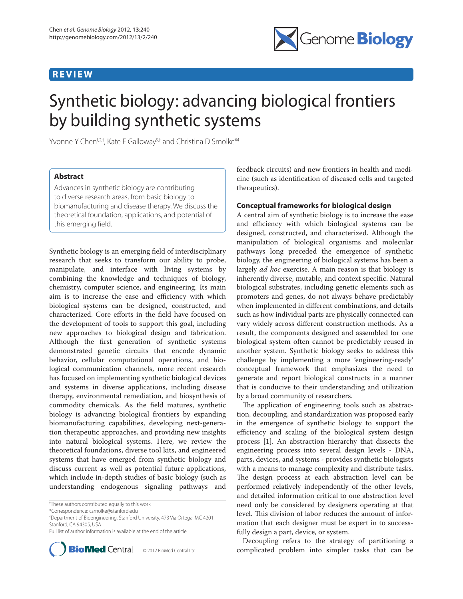## **R E V I E W**



# Synthetic biology: advancing biological frontiers by building synthetic systems

Yvonne Y Chen<sup>1,2,†</sup>, Kate E Galloway<sup>3,†</sup> and Christina D Smolke<sup>\*4</sup>

## **Abstract**

Advances in synthetic biology are contributing to diverse research areas, from basic biology to biomanufacturing and disease therapy. We discuss the theoretical foundation, applications, and potential of this emerging field.

Synthetic biology is an emerging field of interdisciplinary research that seeks to transform our ability to probe, manipulate, and interface with living systems by combining the knowledge and techniques of biology, chemistry, computer science, and engineering. Its main aim is to increase the ease and efficiency with which biological systems can be designed, constructed, and characterized. Core efforts in the field have focused on the development of tools to support this goal, including new approaches to biological design and fabrication. Although the first generation of synthetic systems demonstrated genetic circuits that encode dynamic behavior, cellular computational operations, and biological communication channels, more recent research has focused on implementing synthetic biological devices and systems in diverse applications, including disease therapy, environmental remediation, and biosynthesis of commodity chemicals. As the field matures, synthetic biology is advancing biological frontiers by expanding biomanufacturing capabilities, developing next-generation therapeutic approaches, and providing new insights into natural biological systems. Here, we review the theoretical foundations, diverse tool kits, and engineered systems that have emerged from synthetic biology and discuss current as well as potential future applications, which include in-depth studies of basic biology (such as understanding endogenous signaling pathways and

\*Correspondence: csmolke@stanford.edu

4 Department of Bioengineering, Stanford University, 473 Via Ortega, MC 4201, Stanford, CA 94305, USA

Full list of author information is available at the end of the article



© 2012 BioMed Central Ltd

feedback circuits) and new frontiers in health and medicine (such as identification of diseased cells and targeted therapeutics).

#### **Conceptual frameworks for biological design**

A central aim of synthetic biology is to increase the ease and efficiency with which biological systems can be designed, constructed, and characterized. Although the manipulation of biological organisms and molecular pathways long preceded the emergence of synthetic biology, the engineering of biological systems has been a largely *ad hoc* exercise. A main reason is that biology is inherently diverse, mutable, and context specific. Natural biological substrates, including genetic elements such as promoters and genes, do not always behave predictably when implemented in different combinations, and details such as how individual parts are physically connected can vary widely across different construction methods. As a result, the components designed and assembled for one biological system often cannot be predictably reused in another system. Synthetic biology seeks to address this challenge by implementing a more 'engineering-ready' conceptual framework that emphasizes the need to generate and report biological constructs in a manner that is conducive to their understanding and utilization by a broad community of researchers.

The application of engineering tools such as abstraction, decoupling, and standardization was proposed early in the emergence of synthetic biology to support the efficiency and scaling of the biological system design process [1]. An abstraction hierarchy that dissects the engineering process into several design levels - DNA, parts, devices, and systems - provides synthetic biologists with a means to manage complexity and distribute tasks. The design process at each abstraction level can be performed relatively independently of the other levels, and detailed information critical to one abstraction level need only be considered by designers operating at that level. This division of labor reduces the amount of information that each designer must be expert in to successfully design a part, device, or system.

Decoupling refers to the strategy of partitioning a complicated problem into simpler tasks that can be

<sup>†</sup> These authors contributed equally to this work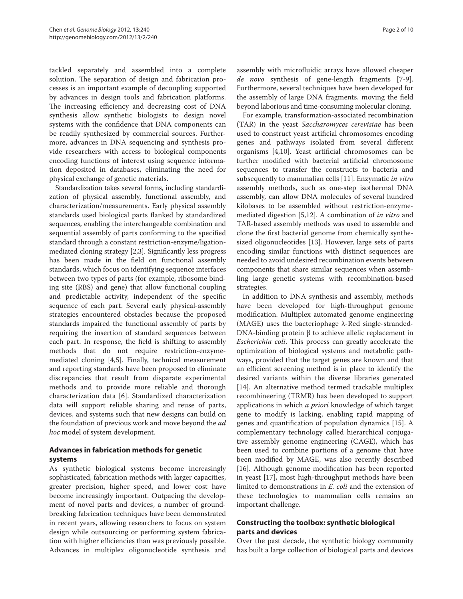tackled separately and assembled into a complete solution. The separation of design and fabrication processes is an important example of decoupling supported by advances in design tools and fabrication platforms. The increasing efficiency and decreasing cost of DNA synthesis allow synthetic biologists to design novel systems with the confidence that DNA components can be readily synthesized by commercial sources. Furthermore, advances in DNA sequencing and synthesis provide researchers with access to biological components encoding functions of interest using sequence information deposited in databases, eliminating the need for physical exchange of genetic materials.

Standardization takes several forms, including standardization of physical assembly, functional assembly, and characterization/measurements. Early physical assembly standards used biological parts flanked by standardized sequences, enabling the interchangeable combination and sequential assembly of parts conforming to the specified standard through a constant restriction-enzyme/ligationmediated cloning strategy [2,3]. Significantly less progress has been made in the field on functional assembly standards, which focus on identifying sequence interfaces between two types of parts (for example, ribosome binding site (RBS) and gene) that allow functional coupling and predictable activity, independent of the specific sequence of each part. Several early physical-assembly strategies encountered obstacles because the proposed standards impaired the functional assembly of parts by requiring the insertion of standard sequences between each part. In response, the field is shifting to assembly methods that do not require restriction-enzymemediated cloning [4,5]. Finally, technical measurement and reporting standards have been proposed to eliminate discrepancies that result from disparate experimental methods and to provide more reliable and thorough characterization data [6]. Standardized characterization data will support reliable sharing and reuse of parts, devices, and systems such that new designs can build on the foundation of previous work and move beyond the *ad hoc* model of system development.

## **Advances in fabrication methods for genetic systems**

As synthetic biological systems become increasingly sophisticated, fabrication methods with larger capacities, greater precision, higher speed, and lower cost have become increasingly important. Outpacing the development of novel parts and devices, a number of groundbreaking fabrication techniques have been demonstrated in recent years, allowing researchers to focus on system design while outsourcing or performing system fabrication with higher efficiencies than was previously possible. Advances in multiplex oligonucleotide synthesis and assembly with microfluidic arrays have allowed cheaper *de novo* synthesis of gene-length fragments [7-9]. Furthermore, several techniques have been developed for the assembly of large DNA fragments, moving the field beyond laborious and time-consuming molecular cloning.

For example, transformation-associated recombination (TAR) in the yeast *Saccharomyces cerevisiae* has been used to construct yeast artificial chromosomes encoding genes and pathways isolated from several different organisms [4,10]. Yeast artificial chromosomes can be further modified with bacterial artificial chromosome sequences to transfer the constructs to bacteria and subsequently to mammalian cells [11]. Enzymatic *in vitro* assembly methods, such as one-step isothermal DNA assembly, can allow DNA molecules of several hundred kilobases to be assembled without restriction-enzymemediated digestion [5,12]. A combination of *in vitro* and TAR-based assembly methods was used to assemble and clone the first bacterial genome from chemically synthesized oligonucleotides [13]. However, large sets of parts encoding similar functions with distinct sequences are needed to avoid undesired recombination events between components that share similar sequences when assembling large genetic systems with recombination-based strategies.

In addition to DNA synthesis and assembly, methods have been developed for high-throughput genome modification. Multiplex automated genome engineering (MAGE) uses the bacteriophage  $\lambda$ -Red single-stranded-DNA-binding protein β to achieve allelic replacement in *Escherichia coli*. This process can greatly accelerate the optimization of biological systems and metabolic pathways, provided that the target genes are known and that an efficient screening method is in place to identify the desired variants within the diverse libraries generated [14]. An alternative method termed trackable multiplex recombineering (TRMR) has been developed to support applications in which *a priori* knowledge of which target gene to modify is lacking, enabling rapid mapping of genes and quantification of population dynamics [15]. A complementary technology called hierarchical conjugative assembly genome engineering (CAGE), which has been used to combine portions of a genome that have been modified by MAGE, was also recently described [16]. Although genome modification has been reported in yeast [17], most high-throughput methods have been limited to demonstrations in *E. coli* and the extension of these technologies to mammalian cells remains an important challenge.

## **Constructing the toolbox: synthetic biological parts and devices**

Over the past decade, the synthetic biology community has built a large collection of biological parts and devices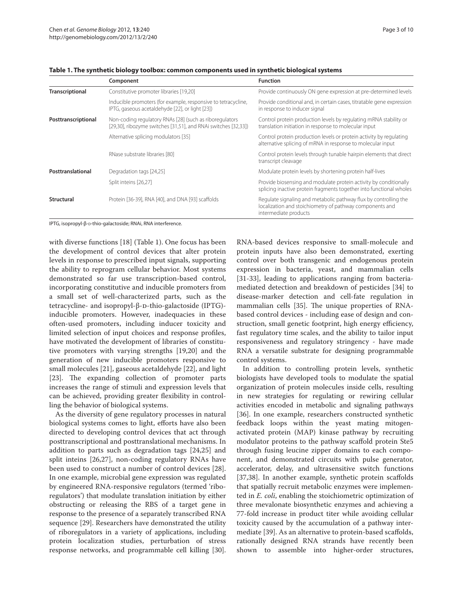|                     | Component                                                                                                                 | <b>Function</b>                                                                                                                                       |
|---------------------|---------------------------------------------------------------------------------------------------------------------------|-------------------------------------------------------------------------------------------------------------------------------------------------------|
| Transcriptional     | Constitutive promoter libraries [19,20]                                                                                   | Provide continuously ON gene expression at pre-determined levels                                                                                      |
|                     | Inducible promoters (for example, responsive to tetracycline,<br>IPTG, gaseous acetaldehyde [22], or light [23])          | Provide conditional and, in certain cases, titratable gene expression<br>in response to inducer signal                                                |
| Posttranscriptional | Non-coding regulatory RNAs [28] (such as riboregulators<br>[29,30], ribozyme switches [31,51], and RNAi switches [32,33]) | Control protein production levels by regulating mRNA stability or<br>translation initiation in response to molecular input                            |
|                     | Alternative splicing modulators [35]                                                                                      | Control protein production levels or protein activity by regulating<br>alternative splicing of mRNA in response to molecular input                    |
|                     | RNase substrate libraries [80]                                                                                            | Control protein levels through tunable hairpin elements that direct<br>transcript cleavage                                                            |
| Posttranslational   | Degradation tags [24,25]                                                                                                  | Modulate protein levels by shortening protein half-lives                                                                                              |
|                     | Split inteins [26,27]                                                                                                     | Provide biosensing and modulate protein activity by conditionally<br>splicing inactive protein fragments together into functional wholes              |
| Structural          | Protein [36-39], RNA [40], and DNA [93] scaffolds                                                                         | Regulate signaling and metabolic pathway flux by controlling the<br>localization and stoichiometry of pathway components and<br>intermediate products |

**Table 1. The synthetic biology toolbox: common components used in synthetic biological systems**

IPTG, isopropyl-β-D-thio-galactoside; RNAi, RNA interference.

with diverse functions [18] (Table 1). One focus has been the development of control devices that alter protein levels in response to prescribed input signals, supporting the ability to reprogram cellular behavior. Most systems demonstrated so far use transcription-based control, incorporating constitutive and inducible promoters from a small set of well-characterized parts, such as the tetracycline- and isopropyl-β-D-thio-galactoside (IPTG)inducible promoters. However, inadequacies in these often-used promoters, including inducer toxicity and limited selection of input choices and response profiles, have motivated the development of libraries of constitutive promoters with varying strengths [19,20] and the generation of new inducible promoters responsive to small molecules [21], gaseous acetaldehyde [22], and light [23]. The expanding collection of promoter parts increases the range of stimuli and expression levels that can be achieved, providing greater flexibility in controlling the behavior of biological systems.

As the diversity of gene regulatory processes in natural biological systems comes to light, efforts have also been directed to developing control devices that act through posttranscriptional and posttranslational mechanisms. In addition to parts such as degradation tags [24,25] and split inteins [26,27], non-coding regulatory RNAs have been used to construct a number of control devices [28]. In one example, microbial gene expression was regulated by engineered RNA-responsive regulators (termed 'riboregulators') that modulate translation initiation by either obstructing or releasing the RBS of a target gene in response to the presence of a separately transcribed RNA sequence [29]. Researchers have demonstrated the utility of riboregulators in a variety of applications, including protein localization studies, perturbation of stress response networks, and programmable cell killing [30].

RNA-based devices responsive to small-molecule and protein inputs have also been demonstrated, exerting control over both transgenic and endogenous protein expression in bacteria, yeast, and mammalian cells [31-33], leading to applications ranging from bacteriamediated detection and breakdown of pesticides [34] to disease-marker detection and cell-fate regulation in mammalian cells [35]. The unique properties of RNAbased control devices - including ease of design and construction, small genetic footprint, high energy efficiency, fast regulatory time scales, and the ability to tailor input responsiveness and regulatory stringency - have made RNA a versatile substrate for designing programmable control systems.

In addition to controlling protein levels, synthetic biologists have developed tools to modulate the spatial organization of protein molecules inside cells, resulting in new strategies for regulating or rewiring cellular activities encoded in metabolic and signaling pathways [36]. In one example, researchers constructed synthetic feedback loops within the yeast mating mitogenactivated protein (MAP) kinase pathway by recruiting modulator proteins to the pathway scaffold protein Ste5 through fusing leucine zipper domains to each component, and demonstrated circuits with pulse generator, accelerator, delay, and ultrasensitive switch functions [37,38]. In another example, synthetic protein scaffolds that spatially recruit metabolic enzymes were implemented in *E. coli*, enabling the stoichiometric optimization of three mevalonate biosynthetic enzymes and achieving a 77-fold increase in product titer while avoiding cellular toxicity caused by the accumulation of a pathway intermediate [39]. As an alternative to protein-based scaffolds, rationally designed RNA strands have recently been shown to assemble into higher-order structures,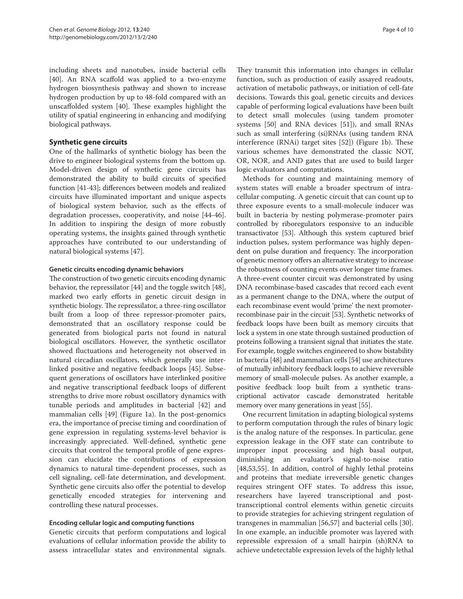including sheets and nanotubes, inside bacterial cells [40]. An RNA scaffold was applied to a two-enzyme hydrogen biosynthesis pathway and shown to increase hydrogen production by up to 48-fold compared with an unscaffolded system [40]. These examples highlight the utility of spatial engineering in enhancing and modifying biological pathways.

#### **Synthetic gene circuits**

One of the hallmarks of synthetic biology has been the drive to engineer biological systems from the bottom up. Model-driven design of synthetic gene circuits has demonstrated the ability to build circuits of specified function [41-43]; differences between models and realized circuits have illuminated important and unique aspects of biological system behavior, such as the effects of degradation processes, cooperativity, and noise [44-46]. In addition to inspiring the design of more robustly operating systems, the insights gained through synthetic approaches have contributed to our understanding of natural biological systems [47].

#### **Genetic circuits encoding dynamic behaviors**

The construction of two genetic circuits encoding dynamic behavior, the repressilator [44] and the toggle switch [48], marked two early efforts in genetic circuit design in synthetic biology. The repressilator, a three-ring oscillator built from a loop of three repressor-promoter pairs, demonstrated that an oscillatory response could be generated from biological parts not found in natural biological oscillators. However, the synthetic oscillator showed fluctuations and heterogeneity not observed in natural circadian oscillators, which generally use interlinked positive and negative feedback loops [45]. Subsequent generations of oscillators have interlinked positive and negative transcriptional feedback loops of different strengths to drive more robust oscillatory dynamics with tunable periods and amplitudes in bacterial [42] and mammalian cells [49] (Figure 1a). In the post-genomics era, the importance of precise timing and coordination of gene expression in regulating systems-level behavior is increasingly appreciated. Well-defined, synthetic gene circuits that control the temporal profile of gene expression can elucidate the contributions of expression dynamics to natural time-dependent processes, such as cell signaling, cell-fate determination, and development. Synthetic gene circuits also offer the potential to develop genetically encoded strategies for intervening and controlling these natural processes.

#### **Encoding cellular logic and computing functions**

Genetic circuits that perform computations and logical evaluations of cellular information provide the ability to assess intracellular states and environmental signals.

They transmit this information into changes in cellular function, such as production of easily assayed readouts, activation of metabolic pathways, or initiation of cell-fate decisions. Towards this goal, genetic circuits and devices capable of performing logical evaluations have been built to detect small molecules (using tandem promoter systems [50] and RNA devices [51]), and small RNAs such as small interfering (si)RNAs (using tandem RNA interference (RNAi) target sites [52]) (Figure 1b). These various schemes have demonstrated the classic NOT, OR, NOR, and AND gates that are used to build larger logic evaluators and computations.

Methods for counting and maintaining memory of system states will enable a broader spectrum of intracellular computing. A genetic circuit that can count up to three exposure events to a small-molecule inducer was built in bacteria by nesting polymerase-promoter pairs controlled by riboregulators responsive to an inducible transactivator [53]. Although this system captured brief induction pulses, system performance was highly dependent on pulse duration and frequency. The incorporation of genetic memory offers an alternative strategy to increase the robustness of counting events over longer time frames. A three-event counter circuit was demonstrated by using DNA recombinase-based cascades that record each event as a permanent change to the DNA, where the output of each recombinase event would 'prime' the next promoterrecombinase pair in the circuit [53]. Synthetic networks of feedback loops have been built as memory circuits that lock a system in one state through sustained production of proteins following a transient signal that initiates the state. For example, toggle switches engineered to show bistability in bacteria [48] and mammalian cells [54] use architectures of mutually inhibitory feedback loops to achieve reversible memory of small-molecule pulses. As another example, a positive feedback loop built from a synthetic transcriptional activator cascade demonstrated heritable memory over many generations in yeast [55].

One recurrent limitation in adapting biological systems to perform computation through the rules of binary logic is the analog nature of the responses. In particular, gene expression leakage in the OFF state can contribute to improper input processing and high basal output, diminishing an evaluator's signal-to-noise ratio [48,53,55]. In addition, control of highly lethal proteins and proteins that mediate irreversible genetic changes requires stringent OFF states. To address this issue, researchers have layered transcriptional and posttranscriptional control elements within genetic circuits to provide strategies for achieving stringent regulation of transgenes in mammalian [56,57] and bacterial cells [30]. In one example, an inducible promoter was layered with repressible expression of a small hairpin (sh)RNA to achieve undetectable expression levels of the highly lethal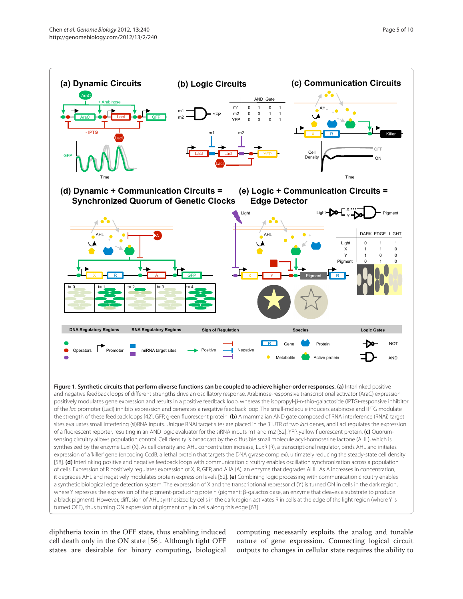

turned OFF), thus turning ON expression of pigment only in cells along this edge [63].

diphtheria toxin in the OFF state, thus enabling induced cell death only in the ON state [56]. Although tight OFF states are desirable for binary computing, biological

computing necessarily exploits the analog and tunable nature of gene expression. Connecting logical circuit outputs to changes in cellular state requires the ability to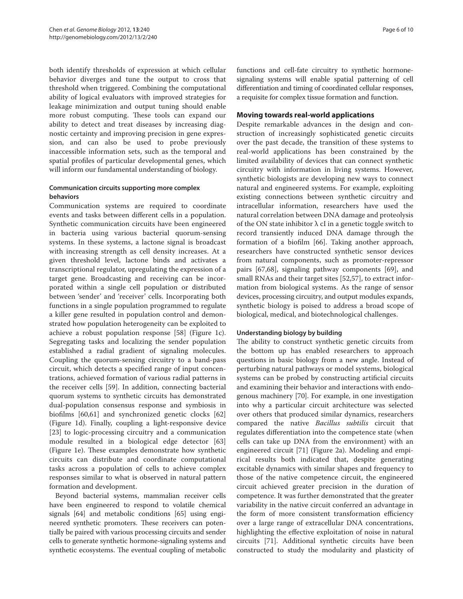both identify thresholds of expression at which cellular behavior diverges and tune the output to cross that threshold when triggered. Combining the computational ability of logical evaluators with improved strategies for leakage minimization and output tuning should enable more robust computing. These tools can expand our ability to detect and treat diseases by increasing diagnostic certainty and improving precision in gene expression, and can also be used to probe previously inaccessible information sets, such as the temporal and spatial profiles of particular developmental genes, which will inform our fundamental understanding of biology.

## **Communication circuits supporting more complex behaviors**

Communication systems are required to coordinate events and tasks between different cells in a population. Synthetic communication circuits have been engineered in bacteria using various bacterial quorum-sensing systems. In these systems, a lactone signal is broadcast with increasing strength as cell density increases. At a given threshold level, lactone binds and activates a transcriptional regulator, upregulating the expression of a target gene. Broadcasting and receiving can be incorporated within a single cell population or distributed between 'sender' and 'receiver' cells. Incorporating both functions in a single population programmed to regulate a killer gene resulted in population control and demonstrated how population heterogeneity can be exploited to achieve a robust population response [58] (Figure 1c). Segregating tasks and localizing the sender population established a radial gradient of signaling molecules. Coupling the quorum-sensing circuitry to a band-pass circuit, which detects a specified range of input concentrations, achieved formation of various radial patterns in the receiver cells [59]. In addition, connecting bacterial quorum systems to synthetic circuits has demonstrated dual-population consensus response and symbiosis in biofilms [60,61] and synchronized genetic clocks [62] (Figure 1d). Finally, coupling a light-responsive device [23] to logic-processing circuitry and a communication module resulted in a biological edge detector [63] (Figure 1e). These examples demonstrate how synthetic circuits can distribute and coordinate computational tasks across a population of cells to achieve complex responses similar to what is observed in natural pattern formation and development.

Beyond bacterial systems, mammalian receiver cells have been engineered to respond to volatile chemical signals [64] and metabolic conditions [65] using engineered synthetic promoters. These receivers can potentially be paired with various processing circuits and sender cells to generate synthetic hormone-signaling systems and synthetic ecosystems. The eventual coupling of metabolic functions and cell-fate circuitry to synthetic hormonesignaling systems will enable spatial patterning of cell differentiation and timing of coordinated cellular responses, a requisite for complex tissue formation and function.

## **Moving towards real-world applications**

Despite remarkable advances in the design and construction of increasingly sophisticated genetic circuits over the past decade, the transition of these systems to real-world applications has been constrained by the limited availability of devices that can connect synthetic circuitry with information in living systems. However, synthetic biologists are developing new ways to connect natural and engineered systems. For example, exploiting existing connections between synthetic circuitry and intracellular information, researchers have used the natural correlation between DNA damage and proteolysis of the ON state inhibitor  $\lambda$  cI in a genetic toggle switch to record transiently induced DNA damage through the formation of a biofilm [66]. Taking another approach, researchers have constructed synthetic sensor devices from natural components, such as promoter-repressor pairs [67,68], signaling pathway components [69], and small RNAs and their target sites [52,57], to extract information from biological systems. As the range of sensor devices, processing circuitry, and output modules expands, synthetic biology is poised to address a broad scope of biological, medical, and biotechnological challenges.

#### **Understanding biology by building**

The ability to construct synthetic genetic circuits from the bottom up has enabled researchers to approach questions in basic biology from a new angle. Instead of perturbing natural pathways or model systems, biological systems can be probed by constructing artificial circuits and examining their behavior and interactions with endogenous machinery [70]. For example, in one investigation into why a particular circuit architecture was selected over others that produced similar dynamics, researchers compared the native *Bacillus subtilis* circuit that regulates differentiation into the competence state (when cells can take up DNA from the environment) with an engineered circuit [71] (Figure 2a). Modeling and empirical results both indicated that, despite generating excitable dynamics with similar shapes and frequency to those of the native competence circuit, the engineered circuit achieved greater precision in the duration of competence. It was further demonstrated that the greater variability in the native circuit conferred an advantage in the form of more consistent transformation efficiency over a large range of extracellular DNA concentrations, highlighting the effective exploitation of noise in natural circuits [71]. Additional synthetic circuits have been constructed to study the modularity and plasticity of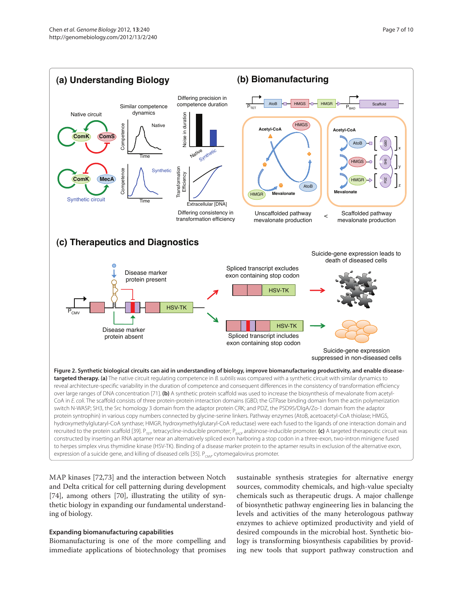

MAP kinases [72,73] and the interaction between Notch and Delta critical for cell patterning during development [74], among others [70], illustrating the utility of synthetic biology in expanding our fundamental understanding of biology.

#### **Expanding biomanufacturing capabilities**

Biomanufacturing is one of the more compelling and immediate applications of biotechnology that promises

sustainable synthesis strategies for alternative energy sources, commodity chemicals, and high-value specialty chemicals such as therapeutic drugs. A major challenge of biosynthetic pathway engineering lies in balancing the levels and activities of the many heterologous pathway enzymes to achieve optimized productivity and yield of desired compounds in the microbial host. Synthetic biology is transforming biosynthesis capabilities by providing new tools that support pathway construction and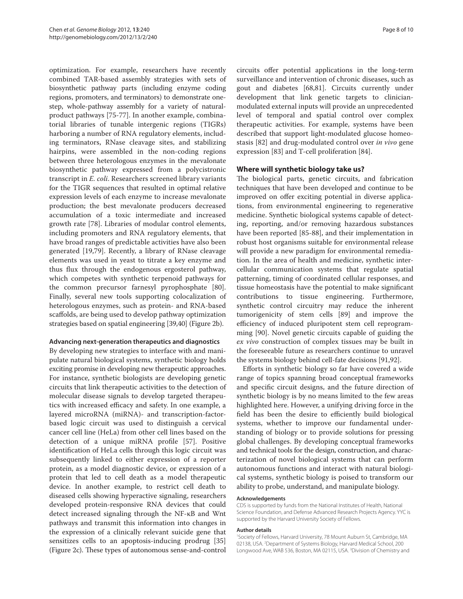optimization. For example, researchers have recently combined TAR-based assembly strategies with sets of biosynthetic pathway parts (including enzyme coding regions, promoters, and terminators) to demonstrate onestep, whole-pathway assembly for a variety of naturalproduct pathways [75-77]. In another example, combinatorial libraries of tunable intergenic regions (TIGRs) harboring a number of RNA regulatory elements, including terminators, RNase cleavage sites, and stabilizing hairpins, were assembled in the non-coding regions between three heterologous enzymes in the mevalonate biosynthetic pathway expressed from a polycistronic transcript in *E. coli*. Researchers screened library variants for the TIGR sequences that resulted in optimal relative expression levels of each enzyme to increase mevalonate production; the best mevalonate producers decreased accumulation of a toxic intermediate and increased growth rate [78]. Libraries of modular control elements, including promoters and RNA regulatory elements, that have broad ranges of predictable activities have also been generated [19,79]. Recently, a library of RNase cleavage elements was used in yeast to titrate a key enzyme and thus flux through the endogenous ergosterol pathway, which competes with synthetic terpenoid pathways for the common precursor farnesyl pyrophosphate [80]. Finally, several new tools supporting colocalization of heterologous enzymes, such as protein- and RNA-based scaffolds, are being used to develop pathway optimization strategies based on spatial engineering [39,40] (Figure 2b).

#### **Advancing next-generation therapeutics and diagnostics**

By developing new strategies to interface with and manipulate natural biological systems, synthetic biology holds exciting promise in developing new therapeutic approaches. For instance, synthetic biologists are developing genetic circuits that link therapeutic activities to the detection of molecular disease signals to develop targeted therapeutics with increased efficacy and safety. In one example, a layered microRNA (miRNA)- and transcription-factorbased logic circuit was used to distinguish a cervical cancer cell line (HeLa) from other cell lines based on the detection of a unique miRNA profile [57]. Positive identification of HeLa cells through this logic circuit was subsequently linked to either expression of a reporter protein, as a model diagnostic device, or expression of a protein that led to cell death as a model therapeutic device. In another example, to restrict cell death to diseased cells showing hyperactive signaling, researchers developed protein-responsive RNA devices that could detect increased signaling through the NF-κB and Wnt pathways and transmit this information into changes in the expression of a clinically relevant suicide gene that sensitizes cells to an apoptosis-inducing prodrug [35] (Figure 2c). These types of autonomous sense-and-control

circuits offer potential applications in the long-term surveillance and intervention of chronic diseases, such as gout and diabetes [68,81]. Circuits currently under development that link genetic targets to clinicianmodulated external inputs will provide an unprecedented level of temporal and spatial control over complex therapeutic activities. For example, systems have been described that support light-modulated glucose homeostasis [82] and drug-modulated control over *in vivo* gene expression [83] and T-cell proliferation [84].

#### **Where will synthetic biology take us?**

The biological parts, genetic circuits, and fabrication techniques that have been developed and continue to be improved on offer exciting potential in diverse applications, from environmental engineering to regenerative medicine. Synthetic biological systems capable of detecting, reporting, and/or removing hazardous substances have been reported [85-88], and their implementation in robust host organisms suitable for environmental release will provide a new paradigm for environmental remediation. In the area of health and medicine, synthetic intercellular communication systems that regulate spatial patterning, timing of coordinated cellular responses, and tissue homeostasis have the potential to make significant contributions to tissue engineering. Furthermore, synthetic control circuitry may reduce the inherent tumorigenicity of stem cells [89] and improve the efficiency of induced pluripotent stem cell reprogramming [90]. Novel genetic circuits capable of guiding the *ex vivo* construction of complex tissues may be built in the foreseeable future as researchers continue to unravel the systems biology behind cell-fate decisions [91,92].

Efforts in synthetic biology so far have covered a wide range of topics spanning broad conceptual frameworks and specific circuit designs, and the future direction of synthetic biology is by no means limited to the few areas highlighted here. However, a unifying driving force in the field has been the desire to efficiently build biological systems, whether to improve our fundamental understanding of biology or to provide solutions for pressing global challenges. By developing conceptual frameworks and technical tools for the design, construction, and characterization of novel biological systems that can perform autonomous functions and interact with natural biological systems, synthetic biology is poised to transform our ability to probe, understand, and manipulate biology.

#### **Acknowledgements**

CDS is supported by funds from the National Institutes of Health, National Science Foundation, and Defense Advanced Research Projects Agency. YYC is supported by the Harvard University Society of Fellows.

#### **Author details**

1 Society of Fellows, Harvard University, 78 Mount Auburn St, Cambridge, MA 02138, USA. 2 Department of Systems Biology, Harvard Medical School, 200 Longwood Ave, WAB 536, Boston, MA 02115, USA. 3 Division of Chemistry and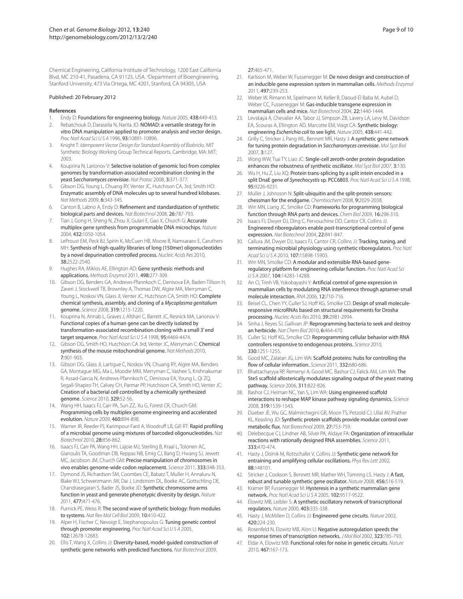Chemical Engineering, California Institute of Technology, 1200 East California Blvd, MC 210-41, Pasadena, CA 91125, USA. 4 Department of Bioengineering, Stanford University, 473 Via Ortega, MC 4201, Stanford, CA 94305, USA

#### Published: 20 February 2012

#### **References**

- 1. Endy D: Foundations for engineering biology. *Nature* 2005, 438:449-453.
- 2. Rebatchouk D, Daraselia N, Narita JO: NOMAD: a versatile strategy for in vitro DNA manipulation applied to promoter analysis and vector design. *Proc Natl Acad Sci U S A* 1996, 93:10891-10896.
- 3. Knight T: *Idempotent Vector Design for Standard Assembly of Biobricks.* MIT Synthetic Biology Working Group Technical Reports. Cambridge, MA: MIT; 2003.
- 4. Kouprina N, Larionov V: Selective isolation of genomic loci from complex genomes by transformation-associated recombination cloning in the yeast *Saccharomyces cerevisiae*. *Nat Protoc* 2008, 3:371-377.
- Gibson DG, Young L, Chuang RY, Venter JC, Hutchison CA, 3rd, Smith HO: Enzymatic assembly of DNA molecules up to several hundred kilobases. *Nat Methods* 2009, 6:343-345.
- 6. Canton B, Labno A, Endy D: Refinement and standardization of synthetic biological parts and devices. *Nat Biotechnol* 2008, 26:787-793.
- 7. Tian J, Gong H, Sheng N, Zhou X, Gulari E, Gao X, Church G: Accurate multiplex gene synthesis from programmable DNA microchips. *Nature*  2004, 432:1050-1054.
- LeProust EM, Peck BJ, Spirin K, McCuen HB, Moore B, Namsaraev E, Caruthers MH: Synthesis of high-quality libraries of long (150mer) oligonucleotides by a novel depurination controlled process. *Nucleic Acids Res* 2010, 38:2522-2540.
- 9. Hughes RA, Miklos AE, Ellington AD: Gene synthesis: methods and applications. *Methods Enzymol* 2011, 498:277-309.
- 10. Gibson DG, Benders GA, Andrews-Pfannkoch C, Denisova EA, Baden-Tillson H, Zaveri J, Stockwell TB, Brownley A, Thomas DW, Algire MA, Merryman C, Young L, Noskov VN, Glass JI, Venter JC, Hutchison CA, Smith HO: Complete chemical synthesis, assembly, and cloning of a *Mycoplasma genitalium* genome. *Science* 2008, 319:1215-1220.
- 11. Kouprina N, Annab L, Graves J, Afshari C, Barrett JC, Resnick MA, Larionov V: Functional copies of a human gene can be directly isolated by transformation-associated recombination cloning with a small 3' end target sequence. *Proc Natl Acad Sci U S A* 1998, 95:4469-4474.
- 12. Gibson DG, Smith HO, Hutchison CA 3rd, Venter JC, Merryman C: Chemical synthesis of the mouse mitochondrial genome. *Nat Methods* 2010, 7:901-903.
- 13. Gibson DG, Glass JI, Lartigue C, Noskov VN, Chuang RY, Algire MA, Benders GA, Montague MG, Ma L, Moodie MM, Merryman C, Vashee S, Krishnakumar R, Assad-Garcia N, Andrews-Pfannkoch C, Denisova EA, Young L, Qi ZQ, Segall-Shapiro TH, Calvey CH, Parmar PP, Hutchison CA, Smith HO, Venter JC: Creation of a bacterial cell controlled by a chemically synthesized genome. *Science* 2010, 329:52-56.
- 14. Wang HH, Isaacs FJ, Carr PA, Sun ZZ, Xu G, Forest CR, Church GM: Programming cells by multiplex genome engineering and accelerated evolution. *Nature* 2009, 460:894-898.
- 15. Warner JR, Reeder PJ, Karimpour-Fard A, Woodruff LB, Gill RT: Rapid profiling of a microbial genome using mixtures of barcoded oligonucleotides. *Nat Biotechnol* 2010, 28:856-862.
- 16. Isaacs FJ, Carr PA, Wang HH, Lajoie MJ, Sterling B, Kraal L, Tolonen AC, Gianoulis TA, Goodman DB, Reppas NB, Emig CJ, Bang D, Hwang SJ, Jewett MC, Jacobson JM, Church GM: Precise manipulation of chromosomes in vivo enables genome-wide codon replacement. *Science* 2011, 333:348-353.
- 17. Dymond JS, Richardson SM, Coombes CE, Babatz T, Muller H, Annaluru N, Blake WJ, Schwerzmann JW, Dai J, Lindstrom DL, Boeke AC, Gottschling DE, Chandrasegaran S, Bader JS, Boeke JD: Synthetic chromosome arms function in yeast and generate phenotypic diversity by design. *Nature*  2011, 477:471-476.
- 18. Purnick PE, Weiss R: The second wave of synthetic biology: from modules to systems. *Nat Rev Mol Cell Biol* 2009, 10:410-422.
- 19. Alper H, Fischer C, Nevoigt E, Stephanopoulos G: Tuning genetic control through promoter engineering. *Proc Natl Acad Sci U S A* 2005, 102:12678-12683.
- 20. Ellis T, Wang X, Collins JJ: Diversity-based, model-guided construction of synthetic gene networks with predicted functions. *Nat Biotechnol* 2009,

27:465-471.

- 21. Karlsson M, Weber W, Fussenegger M: De novo design and construction of an inducible gene expression system in mammalian cells. *Methods Enzymol*  2011, 497:239-253.
- 22. Weber W, Rimann M, Spielmann M, Keller B, Daoud-El Baba M, Aubel D, Weber CC, Fussenegger M: Gas-inducible transgene expression in mammalian cells and mice. *Nat Biotechnol* 2004, 22:1440-1444.
- 23. Levskaya A, Chevalier AA, Tabor JJ, Simpson ZB, Lavery LA, Levy M, Davidson EA, Scouras A, Ellington AD, Marcotte EM, Voigt CA: Synthetic biology: engineering *Escherichia coli* to see light. *Nature* 2005, 438:441-442.
- 24. Grilly C, Stricker J, Pang WL, Bennett MR, Hasty J: A synthetic gene network for tuning protein degradation in *Saccharomyces cerevisiae*. *Mol Syst Biol*  2007, 3:127.
- 25. Wong WW, Tsai TY, Liao JC: Single-cell zeroth-order protein degradation enhances the robustness of synthetic oscillator. *Mol Syst Biol* 2007, 3:130.
- 26. Wu H, Hu Z, Liu XQ: Protein trans-splicing by a split intein encoded in a split DnaE gene of *Synechocystis* sp. PCC6803. *Proc Natl Acad Sci U S A* 1998, 95:9226-9231.
- 27. Muller J, Johnsson N: Split-ubiquitin and the split-protein sensors: chessman for the endgame. *Chembiochem* 2008, 9:2029-2038.
- 28. Win MN, Liang JC, Smolke CD: Frameworks for programming biological function through RNA parts and devices. *Chem Biol* 2009, 16:298-310.
- 29. Isaacs FJ, Dwyer DJ, Ding C, Pervouchine DD, Cantor CR, Collins JJ: Engineered riboregulators enable post-transcriptional control of gene expression. *Nat Biotechnol* 2004, 22:841-847.
- 30. Callura JM, Dwyer DJ, Isaacs FJ, Cantor CR, Collins JJ: Tracking, tuning, and terminating microbial physiology using synthetic riboregulators. *Proc Natl Acad Sci U S A* 2010, 107:15898-15903.
- 31. Win MN, Smolke CD: A modular and extensible RNA-based generegulatory platform for engineering cellular function. *Proc Natl Acad Sci U S A* 2007, 104:14283-14288.
- 32. An CI, Trinh VB, Yokobayashi Y: Artificial control of gene expression in mammalian cells by modulating RNA interference through aptamer-small molecule interaction. *RNA* 2006, 12:710-716.
- 33. Beisel CL, Chen YY, Culler SJ, Hoff KG, Smolke CD: Design of small moleculeresponsive microRNAs based on structural requirements for Drosha processing. *Nucleic Acids Res* 2010, 39:2981-2994.
- 34. Sinha J, Reyes SJ, Gallivan JP: Reprogramming bacteria to seek and destroy an herbicide. *Nat Chem Biol* 2010, 6:464-470.
- 35. Culler SJ, Hoff KG, Smolke CD: Reprogramming cellular behavior with RNA controllers responsive to endogenous proteins. *Science* 2010, 330:1251-1255.
- 36. Good MC, Zalatan JG, Lim WA: Scaffold proteins: hubs for controlling the flow of cellular information. *Science* 2011, 332:680-686.
- 37. Bhattacharyya RP, Remenyi A, Good MC, Bashor CJ, Falick AM, Lim WA: The Ste5 scaffold allosterically modulates signaling output of the yeast mating pathway. *Science* 2006, 311:822-826.
- 38. Bashor CJ, Helman NC, Yan S, Lim WA: Using engineered scaffold interactions to reshape MAP kinase pathway signaling dynamics. *Science*  2008, 319:1539-1543.
- 39. Dueber JE, Wu GC, Malmirchegini GR, Moon TS, Petzold CJ, Ullal AV, Prather KL, Keasling JD: Synthetic protein scaffolds provide modular control over metabolic flux. *Nat Biotechnol* 2009, 27:753-759.
- 40. Delebecque CJ, Lindner AB, Silver PA, Aldaye FA: Organization of intracellular reactions with rationally designed RNA assemblies. *Science* 2011, 333:470-474.
- 41. Hasty J, Dolnik M, Rottschafer V, Collins JJ: Synthetic gene network for entraining and amplifying cellular oscillations. *Phys Rev Lett* 2002, 88:148101.
- 42. Stricker J, Cookson S, Bennett MR, Mather WH, Tsimring LS, Hasty J: A fast, robust and tunable synthetic gene oscillator. *Nature* 2008, 456:516-519.
- 43. Kramer BP, Fussenegger M: Hysteresis in a synthetic mammalian gene network. *Proc Natl Acad Sci U S A* 2005, 102:9517-9522.
- 44. Elowitz MB, Leibler S: A synthetic oscillatory network of transcriptional regulators. *Nature* 2000, 403:335-338.
- 45. Hasty J, McMillen D, Collins JJ: Engineered gene circuits. *Nature* 2002, 420:224-230.
- 46. Rosenfeld N, Elowitz MB, Alon U: Negative autoregulation speeds the response times of transcription networks. *J Mol Biol* 2002, 323:785-793.
- 47. Eldar A, Elowitz MB: Functional roles for noise in genetic circuits. *Nature*  2010, 467:167-173.